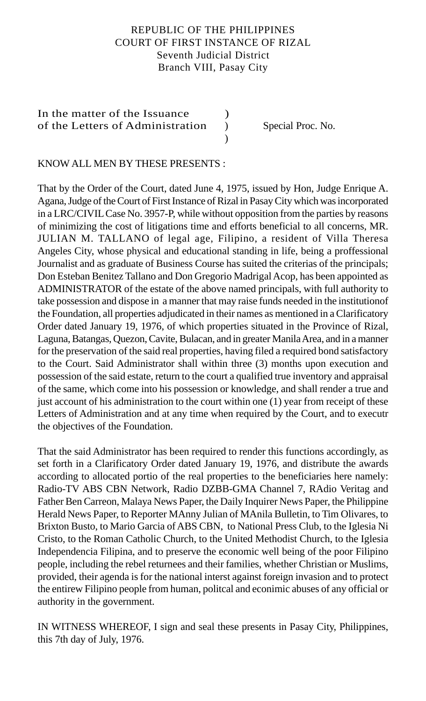# REPUBLIC OF THE PHILIPPINES COURT OF FIRST INSTANCE OF RIZAL Seventh Judicial District Branch VIII, Pasay City

)

In the matter of the Issuance  $\qquad \qquad$  ) of the Letters of Administration ) Special Proc. No.

### KNOW ALL MEN BY THESE PRESENTS :

That by the Order of the Court, dated June 4, 1975, issued by Hon, Judge Enrique A. Agana, Judge of the Court of First Instance of Rizal in Pasay City which was incorporated in a LRC/CIVIL Case No. 3957-P, while without opposition from the parties by reasons of minimizing the cost of litigations time and efforts beneficial to all concerns, MR. JULIAN M. TALLANO of legal age, Filipino, a resident of Villa Theresa Angeles City, whose physical and educational standing in life, being a proffessional Journalist and as graduate of Business Course has suited the criterias of the principals; Don Esteban Benitez Tallano and Don Gregorio Madrigal Acop, has been appointed as ADMINISTRATOR of the estate of the above named principals, with full authority to take possession and dispose in a manner that may raise funds needed in the institutionof the Foundation, all properties adjudicated in their names as mentioned in a Clarificatory Order dated January 19, 1976, of which properties situated in the Province of Rizal, Laguna, Batangas, Quezon, Cavite, Bulacan, and in greater Manila Area, and in a manner for the preservation of the said real properties, having filed a required bond satisfactory to the Court. Said Administrator shall within three (3) months upon execution and possession of the said estate, return to the court a qualified true inventory and appraisal of the same, which come into his possession or knowledge, and shall render a true and just account of his administration to the court within one (1) year from receipt of these Letters of Administration and at any time when required by the Court, and to executr the objectives of the Foundation.

That the said Administrator has been required to render this functions accordingly, as set forth in a Clarificatory Order dated January 19, 1976, and distribute the awards according to allocated portio of the real properties to the beneficiaries here namely: Radio-TV ABS CBN Network, Radio DZBB-GMA Channel 7, RAdio Veritag and Father Ben Carreon, Malaya News Paper, the Daily Inquirer News Paper, the Philippine Herald News Paper, to Reporter MAnny Julian of MAnila Bulletin, to Tim Olivares, to Brixton Busto, to Mario Garcia of ABS CBN, to National Press Club, to the Iglesia Ni Cristo, to the Roman Catholic Church, to the United Methodist Church, to the Iglesia Independencia Filipina, and to preserve the economic well being of the poor Filipino people, including the rebel returnees and their families, whether Christian or Muslims, provided, their agenda is for the national interst against foreign invasion and to protect the entirew Filipino people from human, politcal and econimic abuses of any official or authority in the government.

IN WITNESS WHEREOF, I sign and seal these presents in Pasay City, Philippines, this 7th day of July, 1976.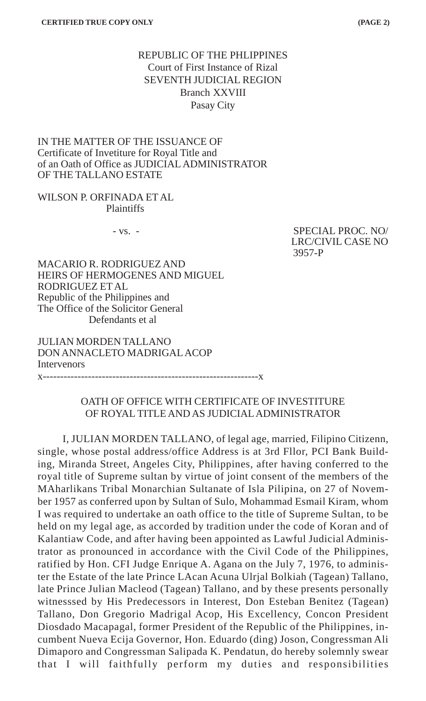# REPUBLIC OF THE PHLIPPINES Court of First Instance of Rizal SEVENTH JUDICIAL REGION Branch XXVIII Pasay City

IN THE MATTER OF THE ISSUANCE OF Certificate of Invetiture for Royal Title and of an Oath of Office as JUDICIAL ADMINISTRATOR OF THE TALLANO ESTATE

#### WILSON P. ORFINADA ET AL Plaintiffs

- vs. - SPECIAL PROC. NO/ LRC/CIVIL CASE NO 3957-P

MACARIO R. RODRIGUEZ AND HEIRS OF HERMOGENES AND MIGUEL RODRIGUEZ ET AL Republic of the Philippines and The Office of the Solicitor General Defendants et al

JULIAN MORDEN TALLANO DON ANNACLETO MADRIGAL ACOP Intervenors x--------------------------------------------------------------x

# OATH OF OFFICE WITH CERTIFICATE OF INVESTITURE OF ROYAL TITLE AND AS JUDICIAL ADMINISTRATOR

I, JULIAN MORDEN TALLANO, of legal age, married, Filipino Citizenn, single, whose postal address/office Address is at 3rd Fllor, PCI Bank Building, Miranda Street, Angeles City, Philippines, after having conferred to the royal title of Supreme sultan by virtue of joint consent of the members of the MAharlikans Tribal Monarchian Sultanate of Isla Pilipina, on 27 of November 1957 as conferred upon by Sultan of Sulo, Mohammad Esmail Kiram, whom I was required to undertake an oath office to the title of Supreme Sultan, to be held on my legal age, as accorded by tradition under the code of Koran and of Kalantiaw Code, and after having been appointed as Lawful Judicial Administrator as pronounced in accordance with the Civil Code of the Philippines, ratified by Hon. CFI Judge Enrique A. Agana on the July 7, 1976, to administer the Estate of the late Prince LAcan Acuna Ulrjal Bolkiah (Tagean) Tallano, late Prince Julian Macleod (Tagean) Tallano, and by these presents personally witnesssed by His Predecessors in Interest, Don Esteban Benitez (Tagean) Tallano, Don Gregorio Madrigal Acop, His Excellency, Concon President Diosdado Macapagal, former President of the Republic of the Philippines, incumbent Nueva Ecija Governor, Hon. Eduardo (ding) Joson, Congressman Ali Dimaporo and Congressman Salipada K. Pendatun, do hereby solemnly swear that I will faithfully perform my duties and responsibilities